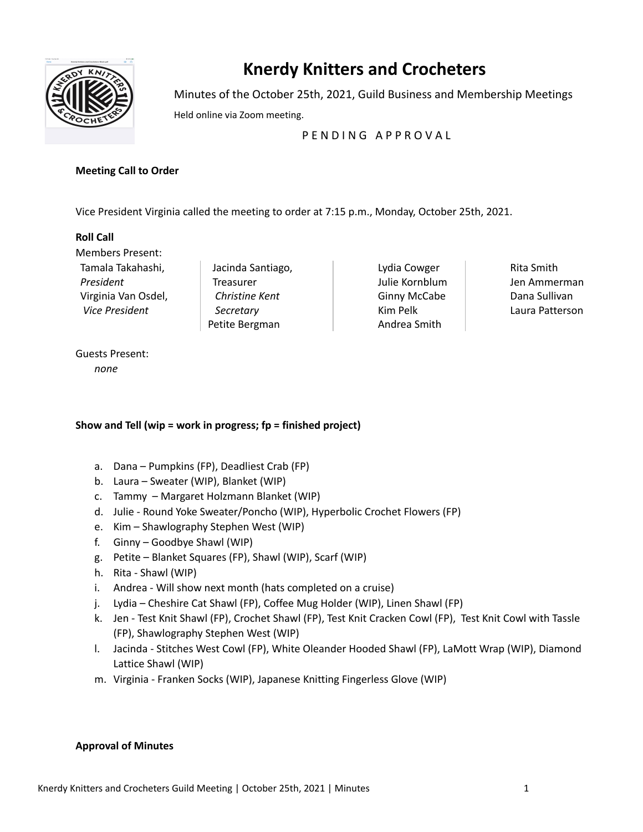

# **Knerdy Knitters and Crocheters**

Minutes of the October 25th, 2021, Guild Business and Membership Meetings

Held online via Zoom meeting.

# PENDING APPROVAL

## **Meeting Call to Order**

Vice President Virginia called the meeting to order at 7:15 p.m., Monday, October 25th, 2021.

# **Roll Call**

Members Present: Tamala Takahashi, *President* Virginia Van Osdel, *Vice President*

Jacinda Santiago, **Treasurer** *Christine Kent Secretary* Petite Bergman

Lydia Cowger Julie Kornblum Ginny McCabe Kim Pelk Andrea Smith

Rita Smith Jen Ammerman Dana Sullivan Laura Patterson

## Guests Present: *none*

# **Show and Tell (wip = work in progress; fp = finished project)**

- a. Dana Pumpkins (FP), Deadliest Crab (FP)
- b. Laura Sweater (WIP), Blanket (WIP)
- c. Tammy Margaret Holzmann Blanket (WIP)
- d. Julie Round Yoke Sweater/Poncho (WIP), Hyperbolic Crochet Flowers (FP)
- e. Kim Shawlography Stephen West (WIP)
- f. Ginny Goodbye Shawl (WIP)
- g. Petite Blanket Squares (FP), Shawl (WIP), Scarf (WIP)
- h. Rita Shawl (WIP)
- i. Andrea Will show next month (hats completed on a cruise)
- j. Lydia Cheshire Cat Shawl (FP), Coffee Mug Holder (WIP), Linen Shawl (FP)
- k. Jen Test Knit Shawl (FP), Crochet Shawl (FP), Test Knit Cracken Cowl (FP), Test Knit Cowl with Tassle (FP), Shawlography Stephen West (WIP)
- l. Jacinda Stitches West Cowl (FP), White Oleander Hooded Shawl (FP), LaMott Wrap (WIP), Diamond Lattice Shawl (WIP)
- m. Virginia Franken Socks (WIP), Japanese Knitting Fingerless Glove (WIP)

## **Approval of Minutes**